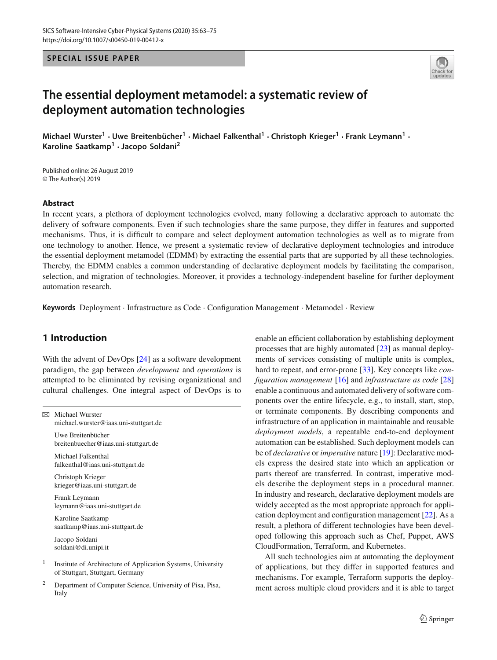**SPECIAL ISSUE PAPER**



# **The essential deployment metamodel: a systematic review of deployment automation technologies**

**Michael Wurster<sup>1</sup> · Uwe Breitenbücher<sup>1</sup> · Michael Falkenthal<sup>1</sup> · Christoph Krieger<sup>1</sup> · Frank Leymann<sup>1</sup> · Karoline Saatkamp1 · Jacopo Soldani2**

Published online: 26 August 2019 © The Author(s) 2019

## **Abstract**

In recent years, a plethora of deployment technologies evolved, many following a declarative approach to automate the delivery of software components. Even if such technologies share the same purpose, they differ in features and supported mechanisms. Thus, it is difficult to compare and select deployment automation technologies as well as to migrate from one technology to another. Hence, we present a systematic review of declarative deployment technologies and introduce the essential deployment metamodel (EDMM) by extracting the essential parts that are supported by all these technologies. Thereby, the EDMM enables a common understanding of declarative deployment models by facilitating the comparison, selection, and migration of technologies. Moreover, it provides a technology-independent baseline for further deployment automation research.

**Keywords** Deployment · Infrastructure as Code · Configuration Management · Metamodel · Review

# **1 Introduction**

With the advent of DevOps [\[24\]](#page-11-0) as a software development paradigm, the gap between *development* and *operations* is attempted to be eliminated by revising organizational and cultural challenges. One integral aspect of DevOps is to

 $⊠$  Michael Wurster michael.wurster@iaas.uni-stuttgart.de

> Uwe Breitenbücher breitenbuecher@iaas.uni-stuttgart.de

Michael Falkenthal falkenthal@iaas.uni-stuttgart.de

Christoph Krieger krieger@iaas.uni-stuttgart.de

Frank Leymann leymann@iaas.uni-stuttgart.de

Karoline Saatkamp saatkamp@iaas.uni-stuttgart.de

Jacopo Soldani soldani@di.unipi.it

<sup>1</sup> Institute of Architecture of Application Systems, University of Stuttgart, Stuttgart, Germany

<sup>2</sup> Department of Computer Science, University of Pisa, Pisa, Italy

enable an efficient collaboration by establishing deployment processes that are highly automated [\[23\]](#page-11-1) as manual deployments of services consisting of multiple units is complex, hard to repeat, and error-prone [\[33](#page-11-2)]. Key concepts like *configuration management* [\[16\]](#page-11-3) and *infrastructure as code* [\[28\]](#page-11-4) enable a continuous and automated delivery of software components over the entire lifecycle, e.g., to install, start, stop, or terminate components. By describing components and infrastructure of an application in maintainable and reusable *deployment models*, a repeatable end-to-end deployment automation can be established. Such deployment models can be of *declarative* or *imperative* nature [\[19](#page-11-5)]: Declarative models express the desired state into which an application or parts thereof are transferred. In contrast, imperative models describe the deployment steps in a procedural manner. In industry and research, declarative deployment models are widely accepted as the most appropriate approach for application deployment and configuration management [\[22](#page-11-6)]. As a result, a plethora of different technologies have been developed following this approach such as Chef, Puppet, AWS CloudFormation, Terraform, and Kubernetes.

All such technologies aim at automating the deployment of applications, but they differ in supported features and mechanisms. For example, Terraform supports the deployment across multiple cloud providers and it is able to target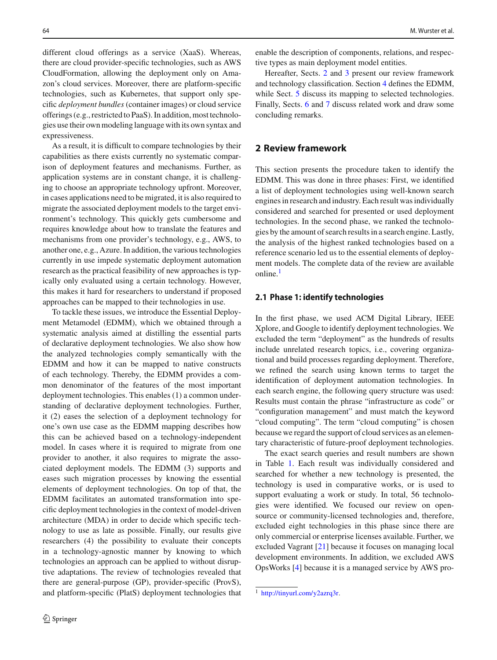different cloud offerings as a service (XaaS). Whereas, there are cloud provider-specific technologies, such as AWS CloudFormation, allowing the deployment only on Amazon's cloud services. Moreover, there are platform-specific technologies, such as Kubernetes, that support only specific *deployment bundles* (container images) or cloud service offerings (e.g., restricted to PaaS). In addition, most technologies use their own modeling language with its own syntax and expressiveness.

As a result, it is difficult to compare technologies by their capabilities as there exists currently no systematic comparison of deployment features and mechanisms. Further, as application systems are in constant change, it is challenging to choose an appropriate technology upfront. Moreover, in cases applications need to be migrated, it is also required to migrate the associated deployment models to the target environment's technology. This quickly gets cumbersome and requires knowledge about how to translate the features and mechanisms from one provider's technology, e.g., AWS, to another one, e.g., Azure. In addition, the various technologies currently in use impede systematic deployment automation research as the practical feasibility of new approaches is typically only evaluated using a certain technology. However, this makes it hard for researchers to understand if proposed approaches can be mapped to their technologies in use.

To tackle these issues, we introduce the Essential Deployment Metamodel (EDMM), which we obtained through a systematic analysis aimed at distilling the essential parts of declarative deployment technologies. We also show how the analyzed technologies comply semantically with the EDMM and how it can be mapped to native constructs of each technology. Thereby, the EDMM provides a common denominator of the features of the most important deployment technologies. This enables (1) a common understanding of declarative deployment technologies. Further, it (2) eases the selection of a deployment technology for one's own use case as the EDMM mapping describes how this can be achieved based on a technology-independent model. In cases where it is required to migrate from one provider to another, it also requires to migrate the associated deployment models. The EDMM (3) supports and eases such migration processes by knowing the essential elements of deployment technologies. On top of that, the EDMM facilitates an automated transformation into specific deployment technologies in the context of model-driven architecture (MDA) in order to decide which specific technology to use as late as possible. Finally, our results give researchers (4) the possibility to evaluate their concepts in a technology-agnostic manner by knowing to which technologies an approach can be applied to without disruptive adaptations. The review of technologies revealed that there are general-purpose (GP), provider-specific (ProvS), and platform-specific (PlatS) deployment technologies that enable the description of components, relations, and respective types as main deployment model entities.

Hereafter, Sects. [2](#page-1-0) and [3](#page-3-0) present our review framework and technology classification. Section [4](#page-5-0) defines the EDMM, while Sect. [5](#page-6-0) discuss its mapping to selected technologies. Finally, Sects. [6](#page-9-0) and [7](#page-10-0) discuss related work and draw some concluding remarks.

# <span id="page-1-0"></span>**2 Review framework**

This section presents the procedure taken to identify the EDMM. This was done in three phases: First, we identified a list of deployment technologies using well-known search engines in research and industry. Each result was individually considered and searched for presented or used deployment technologies. In the second phase, we ranked the technologies by the amount of search results in a search engine. Lastly, the analysis of the highest ranked technologies based on a reference scenario led us to the essential elements of deployment models. The complete data of the review are available online.<sup>[1](#page-1-1)</sup>

#### **2.1 Phase 1: identify technologies**

In the first phase, we used ACM Digital Library, IEEE Xplore, and Google to identify deployment technologies. We excluded the term "deployment" as the hundreds of results include unrelated research topics, i.e., covering organizational and build processes regarding deployment. Therefore, we refined the search using known terms to target the identification of deployment automation technologies. In each search engine, the following query structure was used: Results must contain the phrase "infrastructure as code" or "configuration management" and must match the keyword "cloud computing". The term "cloud computing" is chosen because we regard the support of cloud services as an elementary characteristic of future-proof deployment technologies.

The exact search queries and result numbers are shown in Table [1.](#page-2-0) Each result was individually considered and searched for whether a new technology is presented, the technology is used in comparative works, or is used to support evaluating a work or study. In total, 56 technologies were identified. We focused our review on opensource or community-licensed technologies and, therefore, excluded eight technologies in this phase since there are only commercial or enterprise licenses available. Further, we excluded Vagrant [\[21](#page-11-7)] because it focuses on managing local development environments. In addition, we excluded AWS OpsWorks [\[4\]](#page-11-8) because it is a managed service by AWS pro-

<span id="page-1-1"></span><sup>1</sup> [http://tinyurl.com/y2azrq3r.](http://tinyurl.com/y2azrq3r)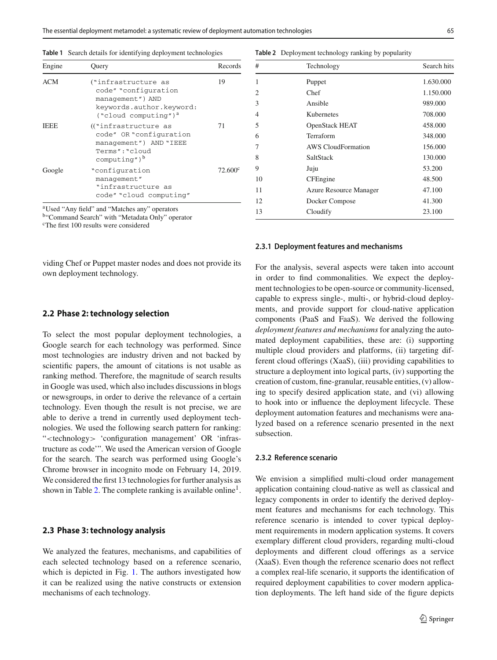<span id="page-2-0"></span>

| Engine     | Ouery                                                                                                                             | Records             |
|------------|-----------------------------------------------------------------------------------------------------------------------------------|---------------------|
| <b>ACM</b> | ("infrastructure as<br>code" "configuration<br>management") AND<br>keywords.author.keyword:<br>("cloud computation") <sup>a</sup> | 19                  |
| IEEE       | (("infrastructure as<br>code" OR "configuration<br>management") AND "IEEE<br>Terms": "cloud<br>computing") <sup>b</sup>           | 71                  |
| Google     | "configuration<br>management"<br>"infrastructure as<br>code" "cloud computing"                                                    | 72.600 <sup>c</sup> |

aUsed "Any field" and "Matches any" operators

b"Command Search" with "Metadata Only" operator

cThe first 100 results were considered

viding Chef or Puppet master nodes and does not provide its own deployment technology.

## **2.2 Phase 2: technology selection**

To select the most popular deployment technologies, a Google search for each technology was performed. Since most technologies are industry driven and not backed by scientific papers, the amount of citations is not usable as ranking method. Therefore, the magnitude of search results in Google was used, which also includes discussions in blogs or newsgroups, in order to derive the relevance of a certain technology. Even though the result is not precise, we are able to derive a trend in currently used deployment technologies. We used the following search pattern for ranking: "*<*technology*>* 'configuration management' OR 'infrastructure as code'". We used the American version of Google for the search. The search was performed using Google's Chrome browser in incognito mode on February 14, 2019. We considered the first 13 technologies for further analysis as shown in Table [2.](#page-2-1) The complete ranking is available online<sup>1</sup>.

## <span id="page-2-2"></span>**2.3 Phase 3: technology analysis**

We analyzed the features, mechanisms, and capabilities of each selected technology based on a reference scenario, which is depicted in Fig. [1.](#page-3-1) The authors investigated how it can be realized using the native constructs or extension mechanisms of each technology.

<span id="page-2-1"></span>**Table 2** Deployment technology ranking by popularity

| #  | Technology                    | Search hits |
|----|-------------------------------|-------------|
| 1  | Puppet                        | 1.630.000   |
| 2  | Chef                          | 1.150.000   |
| 3  | Ansible                       | 989.000     |
| 4  | Kubernetes                    | 708.000     |
| 5  | <b>OpenStack HEAT</b>         | 458.000     |
| 6  | Terraform                     | 348,000     |
| 7  | <b>AWS</b> CloudFormation     | 156.000     |
| 8  | SaltStack                     | 130.000     |
| 9  | Juju                          | 53.200      |
| 10 | CFEngine                      | 48.500      |
| 11 | <b>Azure Resource Manager</b> | 47.100      |
| 12 | Docker Compose                | 41.300      |
| 13 | Cloudify                      | 23.100      |
|    |                               |             |

#### **2.3.1 Deployment features and mechanisms**

For the analysis, several aspects were taken into account in order to find commonalities. We expect the deployment technologies to be open-source or community-licensed, capable to express single-, multi-, or hybrid-cloud deployments, and provide support for cloud-native application components (PaaS and FaaS). We derived the following *deployment features and mechanisms* for analyzing the automated deployment capabilities, these are: (i) supporting multiple cloud providers and platforms, (ii) targeting different cloud offerings (XaaS), (iii) providing capabilities to structure a deployment into logical parts, (iv) supporting the creation of custom, fine-granular, reusable entities, (v) allowing to specify desired application state, and (vi) allowing to hook into or influence the deployment lifecycle. These deployment automation features and mechanisms were analyzed based on a reference scenario presented in the next subsection.

## **2.3.2 Reference scenario**

We envision a simplified multi-cloud order management application containing cloud-native as well as classical and legacy components in order to identify the derived deployment features and mechanisms for each technology. This reference scenario is intended to cover typical deployment requirements in modern application systems. It covers exemplary different cloud providers, regarding multi-cloud deployments and different cloud offerings as a service (XaaS). Even though the reference scenario does not reflect a complex real-life scenario, it supports the identification of required deployment capabilities to cover modern application deployments. The left hand side of the figure depicts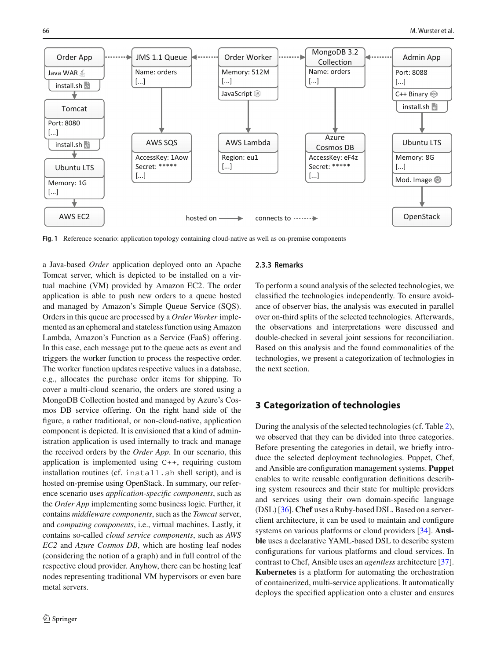

<span id="page-3-1"></span>**Fig. 1** Reference scenario: application topology containing cloud-native as well as on-premise components

a Java-based *Order* application deployed onto an Apache Tomcat server, which is depicted to be installed on a virtual machine (VM) provided by Amazon EC2. The order application is able to push new orders to a queue hosted and managed by Amazon's Simple Queue Service (SQS). Orders in this queue are processed by a *Order Worker* implemented as an ephemeral and stateless function using Amazon Lambda, Amazon's Function as a Service (FaaS) offering. In this case, each message put to the queue acts as event and triggers the worker function to process the respective order. The worker function updates respective values in a database, e.g., allocates the purchase order items for shipping. To cover a multi-cloud scenario, the orders are stored using a MongoDB Collection hosted and managed by Azure's Cosmos DB service offering. On the right hand side of the figure, a rather traditional, or non-cloud-native, application component is depicted. It is envisioned that a kind of administration application is used internally to track and manage the received orders by the *Order App*. In our scenario, this application is implemented using C++, requiring custom installation routines (cf. install.sh shell script), and is hosted on-premise using OpenStack. In summary, our reference scenario uses *application-specific components*, such as the *Order App* implementing some business logic. Further, it contains *middleware components*, such as the *Tomcat* server, and *computing components*, i.e., virtual machines. Lastly, it contains so-called *cloud service components*, such as *AWS EC2* and *Azure Cosmos DB*, which are hosting leaf nodes (considering the notion of a graph) and in full control of the respective cloud provider. Anyhow, there can be hosting leaf nodes representing traditional VM hypervisors or even bare metal servers.

#### **2.3.3 Remarks**

To perform a sound analysis of the selected technologies, we classified the technologies independently. To ensure avoidance of observer bias, the analysis was executed in parallel over on-third splits of the selected technologies. Afterwards, the observations and interpretations were discussed and double-checked in several joint sessions for reconciliation. Based on this analysis and the found commonalities of the technologies, we present a categorization of technologies in the next section.

# <span id="page-3-0"></span>**3 Categorization of technologies**

During the analysis of the selected technologies (cf. Table [2\)](#page-2-1), we observed that they can be divided into three categories. Before presenting the categories in detail, we briefly introduce the selected deployment technologies. Puppet, Chef, and Ansible are configuration management systems. **Puppet** enables to write reusable configuration definitions describing system resources and their state for multiple providers and services using their own domain-specific language (DSL) [\[36](#page-11-9)]. **Chef** uses a Ruby-based DSL. Based on a serverclient architecture, it can be used to maintain and configure systems on various platforms or cloud providers [\[34](#page-11-10)]. **Ansible** uses a declarative YAML-based DSL to describe system configurations for various platforms and cloud services. In contrast to Chef, Ansible uses an *agentless* architecture [\[37](#page-11-11)]. **Kubernetes** is a platform for automating the orchestration of containerized, multi-service applications. It automatically deploys the specified application onto a cluster and ensures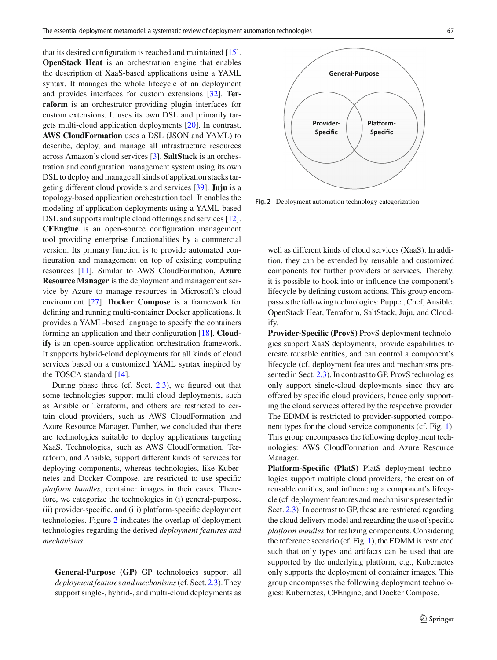that its desired configuration is reached and maintained [\[15](#page-11-12)]. **OpenStack Heat** is an orchestration engine that enables the description of XaaS-based applications using a YAML syntax. It manages the whole lifecycle of an deployment and provides interfaces for custom extensions [\[32](#page-11-13)]. **Terraform** is an orchestrator providing plugin interfaces for custom extensions. It uses its own DSL and primarily targets multi-cloud application deployments [\[20\]](#page-11-14). In contrast, **AWS CloudFormation** uses a DSL (JSON and YAML) to describe, deploy, and manage all infrastructure resources across Amazon's cloud services [\[3](#page-11-15)]. **SaltStack** is an orchestration and configuration management system using its own DSL to deploy and manage all kinds of application stacks targeting different cloud providers and services [\[39](#page-11-16)]. **Juju** is a topology-based application orchestration tool. It enables the modeling of application deployments using a YAML-based DSL and supports multiple cloud offerings and services [\[12](#page-11-17)]. **CFEngine** is an open-source configuration management tool providing enterprise functionalities by a commercial version. Its primary function is to provide automated configuration and management on top of existing computing resources [\[11\]](#page-11-18). Similar to AWS CloudFormation, **Azure Resource Manager** is the deployment and management service by Azure to manage resources in Microsoft's cloud environment [\[27\]](#page-11-19). **Docker Compose** is a framework for defining and running multi-container Docker applications. It provides a YAML-based language to specify the containers forming an application and their configuration [\[18](#page-11-20)]. **Cloudify** is an open-source application orchestration framework. It supports hybrid-cloud deployments for all kinds of cloud services based on a customized YAML syntax inspired by the TOSCA standard [\[14](#page-11-21)].

During phase three (cf. Sect. [2.3\)](#page-2-2), we figured out that some technologies support multi-cloud deployments, such as Ansible or Terraform, and others are restricted to certain cloud providers, such as AWS CloudFormation and Azure Resource Manager. Further, we concluded that there are technologies suitable to deploy applications targeting XaaS. Technologies, such as AWS CloudFormation, Terraform, and Ansible, support different kinds of services for deploying components, whereas technologies, like Kubernetes and Docker Compose, are restricted to use specific *platform bundles*, container images in their cases. Therefore, we categorize the technologies in (i) general-purpose, (ii) provider-specific, and (iii) platform-specific deployment technologies. Figure [2](#page-4-0) indicates the overlap of deployment technologies regarding the derived *deployment features and mechanisms*.

**General-Purpose (GP)** GP technologies support all *deployment features and mechanisms*(cf. Sect. [2.3\)](#page-2-2). They support single-, hybrid-, and multi-cloud deployments as



<span id="page-4-0"></span>**Fig. 2** Deployment automation technology categorization

well as different kinds of cloud services (XaaS). In addition, they can be extended by reusable and customized components for further providers or services. Thereby, it is possible to hook into or influence the component's lifecycle by defining custom actions. This group encompasses the following technologies: Puppet, Chef, Ansible, OpenStack Heat, Terraform, SaltStack, Juju, and Cloudify.

**Provider-Specific (ProvS)** ProvS deployment technologies support XaaS deployments, provide capabilities to create reusable entities, and can control a component's lifecycle (cf. deployment features and mechanisms presented in Sect. [2.3\)](#page-2-2). In contrast to GP, ProvS technologies only support single-cloud deployments since they are offered by specific cloud providers, hence only supporting the cloud services offered by the respective provider. The EDMM is restricted to provider-supported component types for the cloud service components (cf. Fig. [1\)](#page-3-1). This group encompasses the following deployment technologies: AWS CloudFormation and Azure Resource Manager.

**Platform-Specific (PlatS)** PlatS deployment technologies support multiple cloud providers, the creation of reusable entities, and influencing a component's lifecycle (cf. deployment features and mechanisms presented in Sect. [2.3\)](#page-2-2). In contrast to GP, these are restricted regarding the cloud delivery model and regarding the use of specific *platform bundles* for realizing components. Considering the reference scenario (cf. Fig. [1\)](#page-3-1), the EDMM is restricted such that only types and artifacts can be used that are supported by the underlying platform, e.g., Kubernetes only supports the deployment of container images. This group encompasses the following deployment technologies: Kubernetes, CFEngine, and Docker Compose.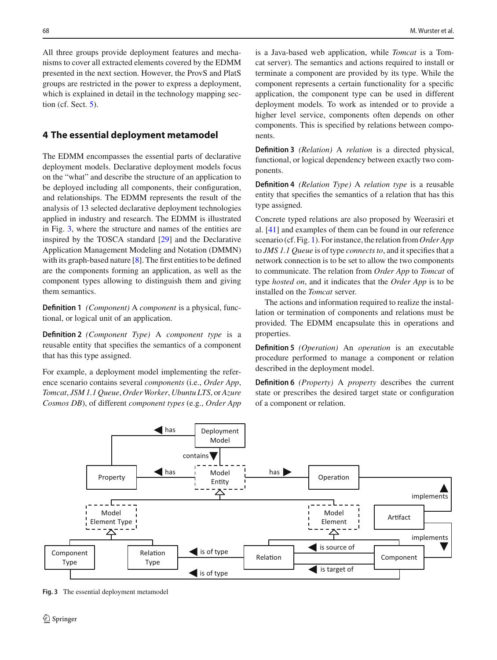All three groups provide deployment features and mechanisms to cover all extracted elements covered by the EDMM presented in the next section. However, the ProvS and PlatS groups are restricted in the power to express a deployment, which is explained in detail in the technology mapping section (cf. Sect. [5\)](#page-6-0).

# <span id="page-5-0"></span>**4 The essential deployment metamodel**

The EDMM encompasses the essential parts of declarative deployment models. Declarative deployment models focus on the "what" and describe the structure of an application to be deployed including all components, their configuration, and relationships. The EDMM represents the result of the analysis of 13 selected declarative deployment technologies applied in industry and research. The EDMM is illustrated in Fig. [3,](#page-5-1) where the structure and names of the entities are inspired by the TOSCA standard [\[29\]](#page-11-22) and the Declarative Application Management Modeling and Notation (DMMN) with its graph-based nature [\[8\]](#page-11-23). The first entities to be defined are the components forming an application, as well as the component types allowing to distinguish them and giving them semantics.

**Definition 1** *(Component)* A *component* is a physical, functional, or logical unit of an application.

<span id="page-5-2"></span>**Definition 2** *(Component Type)* A *component type* is a reusable entity that specifies the semantics of a component that has this type assigned.

For example, a deployment model implementing the reference scenario contains several *components* (i.e., *Order App*, *Tomcat*, *JSM 1.1 Queue*, *Order Worker*, *Ubuntu LTS*, or*Azure Cosmos DB*), of different *component types* (e.g., *Order App* is a Java-based web application, while *Tomcat* is a Tomcat server). The semantics and actions required to install or terminate a component are provided by its type. While the component represents a certain functionality for a specific application, the component type can be used in different deployment models. To work as intended or to provide a higher level service, components often depends on other components. This is specified by relations between components.

**Definition 3** *(Relation)* A *relation* is a directed physical, functional, or logical dependency between exactly two components.

**Definition 4** *(Relation Type)* A *relation type* is a reusable entity that specifies the semantics of a relation that has this type assigned.

Concrete typed relations are also proposed by Weerasiri et al. [\[41\]](#page-11-24) and examples of them can be found in our reference scenario (cf. Fig. [1\)](#page-3-1). For instance, the relation from*Order App* to *JMS 1.1 Queue* is of type *connects to*, and it specifies that a network connection is to be set to allow the two components to communicate. The relation from *Order App* to *Tomcat* of type *hosted on*, and it indicates that the *Order App* is to be installed on the *Tomcat* server.

The actions and information required to realize the installation or termination of components and relations must be provided. The EDMM encapsulate this in operations and properties.

**Definition 5** *(Operation)* An *operation* is an executable procedure performed to manage a component or relation described in the deployment model.

**Definition 6** *(Property)* A *property* describes the current state or prescribes the desired target state or configuration of a component or relation.



<span id="page-5-1"></span>**Fig. 3** The essential deployment metamodel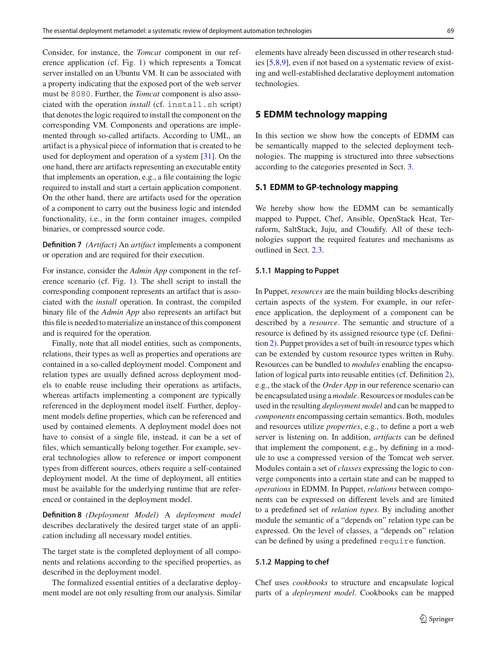Consider, for instance, the *Tomcat* component in our reference application (cf. Fig. [1\)](#page-3-1) which represents a Tomcat server installed on an Ubuntu VM. It can be associated with a property indicating that the exposed port of the web server must be 8080. Further, the *Tomcat* component is also associated with the operation *install* (cf. install.sh script) that denotes the logic required to install the component on the corresponding VM. Components and operations are implemented through so-called artifacts. According to UML, an artifact is a physical piece of information that is created to be used for deployment and operation of a system [\[31\]](#page-11-25). On the one hand, there are artifacts representing an executable entity that implements an operation, e.g., a file containing the logic required to install and start a certain application component. On the other hand, there are artifacts used for the operation of a component to carry out the business logic and intended functionality, i.e., in the form container images, compiled binaries, or compressed source code.

**Definition 7** *(Artifact)* An *artifact* implements a component or operation and are required for their execution.

For instance, consider the *Admin App* component in the reference scenario (cf. Fig. [1\)](#page-3-1). The shell script to install the corresponding component represents an artifact that is associated with the *install* operation. In contrast, the compiled binary file of the *Admin App* also represents an artifact but this file is needed to materialize an instance of this component and is required for the operation.

Finally, note that all model entities, such as components, relations, their types as well as properties and operations are contained in a so-called deployment model. Component and relation types are usually defined across deployment models to enable reuse including their operations as artifacts, whereas artifacts implementing a component are typically referenced in the deployment model itself. Further, deployment models define properties, which can be referenced and used by contained elements. A deployment model does not have to consist of a single file, instead, it can be a set of files, which semantically belong together. For example, several technologies allow to reference or import component types from different sources, others require a self-contained deployment model. At the time of deployment, all entities must be available for the underlying runtime that are referenced or contained in the deployment model.

**Definition 8** *(Deployment Model)* A *deployment model* describes declaratively the desired target state of an application including all necessary model entities.

The target state is the completed deployment of all components and relations according to the specified properties, as described in the deployment model.

The formalized essential entities of a declarative deployment model are not only resulting from our analysis. Similar elements have already been discussed in other research studies [\[5](#page-11-26)[,8](#page-11-23)[,9\]](#page-11-27), even if not based on a systematic review of existing and well-established declarative deployment automation technologies.

# <span id="page-6-0"></span>**5 EDMM technology mapping**

In this section we show how the concepts of EDMM can be semantically mapped to the selected deployment technologies. The mapping is structured into three subsections according to the categories presented in Sect. [3.](#page-3-0)

## **5.1 EDMM to GP-technology mapping**

We hereby show how the EDMM can be semantically mapped to Puppet, Chef, Ansible, OpenStack Heat, Terraform, SaltStack, Juju, and Cloudify. All of these technologies support the required features and mechanisms as outlined in Sect. [2.3.](#page-2-2)

#### **5.1.1 Mapping to Puppet**

In Puppet, *resources* are the main building blocks describing certain aspects of the system. For example, in our reference application, the deployment of a component can be described by a *resource*. The semantic and structure of a resource is defined by its assigned resource type (cf. Definition [2\)](#page-5-2). Puppet provides a set of built-in resource types which can be extended by custom resource types written in Ruby. Resources can be bundled to *modules* enabling the encapsulation of logical parts into reusable entities (cf. Definition [2\)](#page-5-2), e.g., the stack of the *Order App* in our reference scenario can be encapsulated using a *module*. Resources or modules can be used in the resulting *deployment model* and can be mapped to *components* encompassing certain semantics. Both, modules and resources utilize *properties*, e.g., to define a port a web server is listening on. In addition, *artifacts* can be defined that implement the component, e.g., by defining in a module to use a compressed version of the Tomcat web server. Modules contain a set of *classes* expressing the logic to converge components into a certain state and can be mapped to *operations* in EDMM. In Puppet, *relations* between components can be expressed on different levels and are limited to a predefined set of *relation types*. By including another module the semantic of a "depends on" relation type can be expressed. On the level of classes, a "depends on" relation can be defined by using a predefined require function.

#### **5.1.2 Mapping to chef**

Chef uses *cookbooks* to structure and encapsulate logical parts of a *deployment model*. Cookbooks can be mapped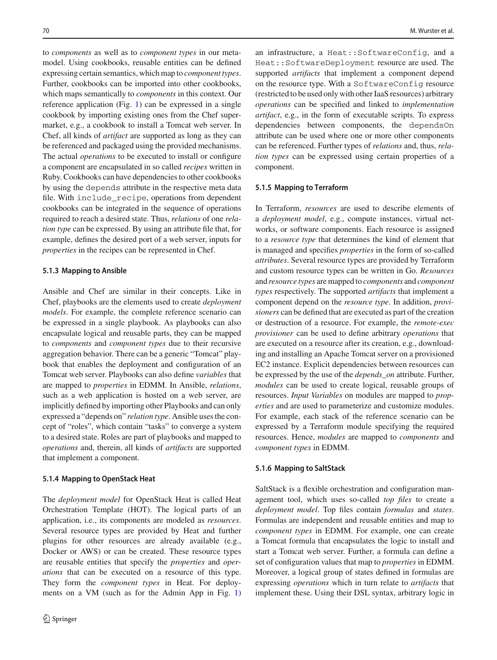to *components* as well as to *component types* in our metamodel. Using cookbooks, reusable entities can be defined expressing certain semantics, which map to *component types*. Further, cookbooks can be imported into other cookbooks, which maps semantically to *components* in this context. Our reference application (Fig. [1\)](#page-3-1) can be expressed in a single cookbook by importing existing ones from the Chef supermarket, e.g., a cookbook to install a Tomcat web server. In Chef, all kinds of *artifact* are supported as long as they can be referenced and packaged using the provided mechanisms. The actual *operations* to be executed to install or configure a component are encapsulated in so called *recipes* written in Ruby. Cookbooks can have dependencies to other cookbooks by using the depends attribute in the respective meta data file. With include\_recipe, operations from dependent cookbooks can be integrated in the sequence of operations required to reach a desired state. Thus, *relations* of one *relation type* can be expressed. By using an attribute file that, for example, defines the desired port of a web server, inputs for *properties* in the recipes can be represented in Chef.

#### **5.1.3 Mapping to Ansible**

Ansible and Chef are similar in their concepts. Like in Chef, playbooks are the elements used to create *deployment models*. For example, the complete reference scenario can be expressed in a single playbook. As playbooks can also encapsulate logical and reusable parts, they can be mapped to *components* and *component types* due to their recursive aggregation behavior. There can be a generic "Tomcat" playbook that enables the deployment and configuration of an Tomcat web server. Playbooks can also define *variables* that are mapped to *properties* in EDMM. In Ansible, *relations*, such as a web application is hosted on a web server, are implicitly defined by importing other Playbooks and can only expressed a "depends on" *relation type*. Ansible uses the concept of "roles", which contain "tasks" to converge a system to a desired state. Roles are part of playbooks and mapped to *operations* and, therein, all kinds of *artifacts* are supported that implement a component.

#### **5.1.4 Mapping to OpenStack Heat**

The *deployment model* for OpenStack Heat is called Heat Orchestration Template (HOT). The logical parts of an application, i.e., its components are modeled as *resources*. Several resource types are provided by Heat and further plugins for other resources are already available (e.g., Docker or AWS) or can be created. These resource types are reusable entities that specify the *properties* and *operations* that can be executed on a resource of this type. They form the *component types* in Heat. For deployments on a VM (such as for the Admin App in Fig. [1\)](#page-3-1) an infrastructure, a Heat::SoftwareConfig, and a Heat::SoftwareDeployment resource are used. The supported *artifacts* that implement a component depend on the resource type. With a SoftwareConfig resource (restricted to be used only with other IaaS resources) arbitrary *operations* can be specified and linked to *implementation artifact*, e.g., in the form of executable scripts. To express dependencies between components, the dependsOn attribute can be used where one or more other components can be referenced. Further types of *relations* and, thus, *relation types* can be expressed using certain properties of a component.

## **5.1.5 Mapping to Terraform**

In Terraform, *resources* are used to describe elements of a *deployment model*, e.g., compute instances, virtual networks, or software components. Each resource is assigned to a *resource type* that determines the kind of element that is managed and specifies *properties* in the form of so-called *attributes*. Several resource types are provided by Terraform and custom resource types can be written in Go. *Resources* and *resource types* are mapped to *components* and *component types* respectively. The supported *artifacts* that implement a component depend on the *resource type*. In addition, *provisioners* can be defined that are executed as part of the creation or destruction of a resource. For example, the *remote-exec provisioner* can be used to define arbitrary *operations* that are executed on a resource after its creation, e.g., downloading and installing an Apache Tomcat server on a provisioned EC2 instance. Explicit dependencies between resources can be expressed by the use of the *depends\_on* attribute. Further, *modules* can be used to create logical, reusable groups of resources. *Input Variables* on modules are mapped to *properties* and are used to parameterize and customize modules. For example, each stack of the reference scenario can be expressed by a Terraform module specifying the required resources. Hence, *modules* are mapped to *components* and *component types* in EDMM.

### **5.1.6 Mapping to SaltStack**

SaltStack is a flexible orchestration and configuration management tool, which uses so-called *top files* to create a *deployment model*. Top files contain *formulas* and *states*. Formulas are independent and reusable entities and map to *component types* in EDMM. For example, one can create a Tomcat formula that encapsulates the logic to install and start a Tomcat web server. Further, a formula can define a set of configuration values that map to *properties* in EDMM. Moreover, a logical group of states defined in formulas are expressing *operations* which in turn relate to *artifacts* that implement these. Using their DSL syntax, arbitrary logic in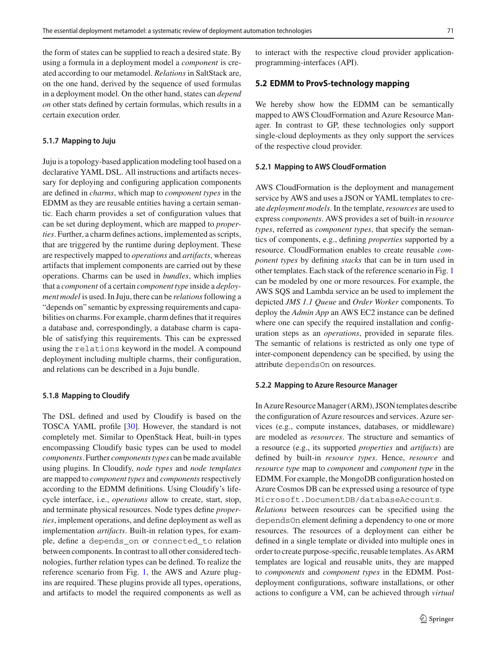the form of states can be supplied to reach a desired state. By using a formula in a deployment model a *component* is created according to our metamodel. *Relations* in SaltStack are, on the one hand, derived by the sequence of used formulas in a deployment model. On the other hand, states can *depend on* other stats defined by certain formulas, which results in a certain execution order.

## **5.1.7 Mapping to Juju**

Juju is a topology-based application modeling tool based on a declarative YAML DSL. All instructions and artifacts necessary for deploying and configuring application components are defined in *charms*, which map to *component types* in the EDMM as they are reusable entities having a certain semantic. Each charm provides a set of configuration values that can be set during deployment, which are mapped to *properties*. Further, a charm defines actions, implemented as scripts, that are triggered by the runtime during deployment. These are respectively mapped to *operations* and *artifacts*, whereas artifacts that implement components are carried out by these operations. Charms can be used in *bundles*, which implies that a *component* of a certain *component type* inside a *deployment model* is used. In Juju, there can be *relations* following a "depends on" semantic by expressing requirements and capabilities on charms. For example, charm defines that it requires a database and, correspondingly, a database charm is capable of satisfying this requirements. This can be expressed using the relations keyword in the model. A compound deployment including multiple charms, their configuration, and relations can be described in a Juju bundle.

### **5.1.8 Mapping to Cloudify**

The DSL defined and used by Cloudify is based on the TOSCA YAML profile [\[30\]](#page-11-28). However, the standard is not completely met. Similar to OpenStack Heat, built-in types encompassing Cloudify basic types can be used to model *components*. Further *components types* can be made available using plugins. In Cloudify, *node types* and *node templates* are mapped to *component types* and *components*respectively according to the EDMM definitions. Using Cloudify's lifecycle interface, i.e., *operations* allow to create, start, stop, and terminate physical resources. Node types define *properties*, implement operations, and define deployment as well as implementation *artifacts*. Built-in relation types, for example, define a depends\_on or connected\_to relation between components. In contrast to all other considered technologies, further relation types can be defined. To realize the reference scenario from Fig. [1,](#page-3-1) the AWS and Azure plugins are required. These plugins provide all types, operations, and artifacts to model the required components as well as to interact with the respective cloud provider applicationprogramming-interfaces (API).

### **5.2 EDMM to ProvS-technology mapping**

We hereby show how the EDMM can be semantically mapped to AWS CloudFormation and Azure Resource Manager. In contrast to GP, these technologies only support single-cloud deployments as they only support the services of the respective cloud provider.

#### **5.2.1 Mapping to AWS CloudFormation**

AWS CloudFormation is the deployment and management service by AWS and uses a JSON or YAML templates to create *deployment models*. In the template,*resources* are used to express *components*. AWS provides a set of built-in *resource types*, referred as *component types*, that specify the semantics of components, e.g., defining *properties* supported by a resource. CloudFormation enables to create reusable *component types* by defining *stacks* that can be in turn used in other templates. Each stack of the reference scenario in Fig. [1](#page-3-1) can be modeled by one or more resources. For example, the AWS SQS and Lambda service an be used to implement the depicted *JMS 1.1 Queue* and *Order Worker* components. To deploy the *Admin App* an AWS EC2 instance can be defined where one can specify the required installation and configuration steps as an *operations*, provided in separate files. The semantic of relations is restricted as only one type of inter-component dependency can be specified, by using the attribute dependsOn on resources.

#### **5.2.2 Mapping to Azure Resource Manager**

In Azure Resource Manager (ARM), JSON templates describe the configuration of Azure resources and services. Azure services (e.g., compute instances, databases, or middleware) are modeled as *resources*. The structure and semantics of a resource (e.g., its supported *properties* and *artifacts*) are defined by built-in *resource types*. Hence, *resource* and *resource type* map to *component* and *component type* in the EDMM. For example, the MongoDB configuration hosted on Azure Cosmos DB can be expressed using a resource of type Microsoft.DocumentDB/databaseAccounts. *Relations* between resources can be specified using the dependsOn element defining a dependency to one or more resources. The resources of a deployment can either be defined in a single template or divided into multiple ones in

order to create purpose-specific, reusable templates. As ARM templates are logical and reusable units, they are mapped to *components* and *component types* in the EDMM. Postdeployment configurations, software installations, or other actions to configure a VM, can be achieved through *virtual*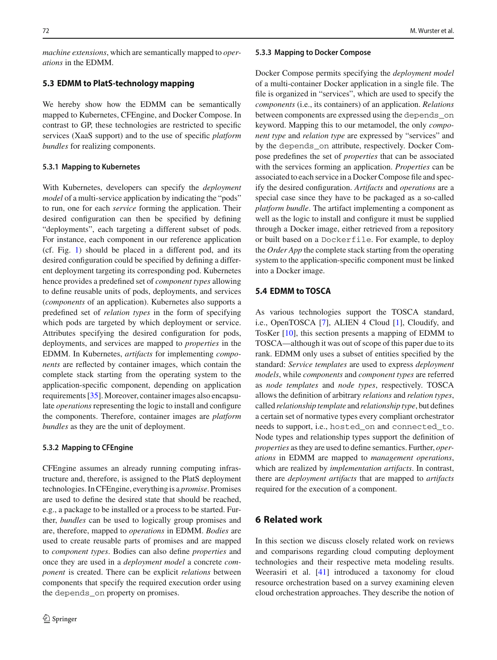*machine extensions*, which are semantically mapped to *operations* in the EDMM.

## **5.3 EDMM to PlatS-technology mapping**

We hereby show how the EDMM can be semantically mapped to Kubernetes, CFEngine, and Docker Compose. In contrast to GP, these technologies are restricted to specific services (XaaS support) and to the use of specific *platform bundles* for realizing components.

## **5.3.1 Mapping to Kubernetes**

With Kubernetes, developers can specify the *deployment model* of a multi-service application by indicating the "pods" to run, one for each *service* forming the application. Their desired configuration can then be specified by defining "deployments", each targeting a different subset of pods. For instance, each component in our reference application (cf. Fig. [1\)](#page-3-1) should be placed in a different pod, and its desired configuration could be specified by defining a different deployment targeting its corresponding pod. Kubernetes hence provides a predefined set of *component types* allowing to define reusable units of pods, deployments, and services (*components* of an application). Kubernetes also supports a predefined set of *relation types* in the form of specifying which pods are targeted by which deployment or service. Attributes specifying the desired configuration for pods, deployments, and services are mapped to *properties* in the EDMM. In Kubernetes, *artifacts* for implementing *components* are reflected by container images, which contain the complete stack starting from the operating system to the application-specific component, depending on application requirements [\[35\]](#page-11-29). Moreover, container images also encapsulate *operations* representing the logic to install and configure the components. Therefore, container images are *platform bundles* as they are the unit of deployment.

#### **5.3.2 Mapping to CFEngine**

CFEngine assumes an already running computing infrastructure and, therefore, is assigned to the PlatS deployment technologies. In CFEngine, everything is a *promise*. Promises are used to define the desired state that should be reached, e.g., a package to be installed or a process to be started. Further, *bundles* can be used to logically group promises and are, therefore, mapped to *operations* in EDMM. *Bodies* are used to create reusable parts of promises and are mapped to *component types*. Bodies can also define *properties* and once they are used in a *deployment model* a concrete *component* is created. There can be explicit *relations* between components that specify the required execution order using the depends\_on property on promises.

#### **5.3.3 Mapping to Docker Compose**

Docker Compose permits specifying the *deployment model* of a multi-container Docker application in a single file. The file is organized in "services", which are used to specify the *components* (i.e., its containers) of an application. *Relations* between components are expressed using the depends\_on keyword. Mapping this to our metamodel, the only *component type* and *relation type* are expressed by "services" and by the depends\_on attribute, respectively. Docker Compose predefines the set of *properties* that can be associated with the services forming an application. *Properties* can be associated to each service in a Docker Compose file and specify the desired configuration. *Artifacts* and *operations* are a special case since they have to be packaged as a so-called *platform bundle*. The artifact implementing a component as well as the logic to install and configure it must be supplied through a Docker image, either retrieved from a repository or built based on a Dockerfile. For example, to deploy the *Order App* the complete stack starting from the operating system to the application-specific component must be linked into a Docker image.

# **5.4 EDMM to TOSCA**

As various technologies support the TOSCA standard, i.e., OpenTOSCA [\[7\]](#page-11-30), ALIEN 4 Cloud [\[1](#page-10-1)], Cloudify, and TosKer [\[10](#page-11-31)], this section presents a mapping of EDMM to TOSCA—although it was out of scope of this paper due to its rank. EDMM only uses a subset of entities specified by the standard: *Service templates* are used to express *deployment models*, while *components* and *component types* are referred as *node templates* and *node types*, respectively. TOSCA allows the definition of arbitrary *relations* and *relation types*, called *relationship template* and *relationship type*, but defines a certain set of normative types every compliant orchestrator needs to support, i.e., hosted\_on and connected\_to. Node types and relationship types support the definition of *properties* as they are used to define semantics. Further, *operations* in EDMM are mapped to *management operations*, which are realized by *implementation artifacts*. In contrast, there are *deployment artifacts* that are mapped to *artifacts* required for the execution of a component.

# <span id="page-9-0"></span>**6 Related work**

In this section we discuss closely related work on reviews and comparisons regarding cloud computing deployment technologies and their respective meta modeling results. Weerasiri et al. [\[41\]](#page-11-24) introduced a taxonomy for cloud resource orchestration based on a survey examining eleven cloud orchestration approaches. They describe the notion of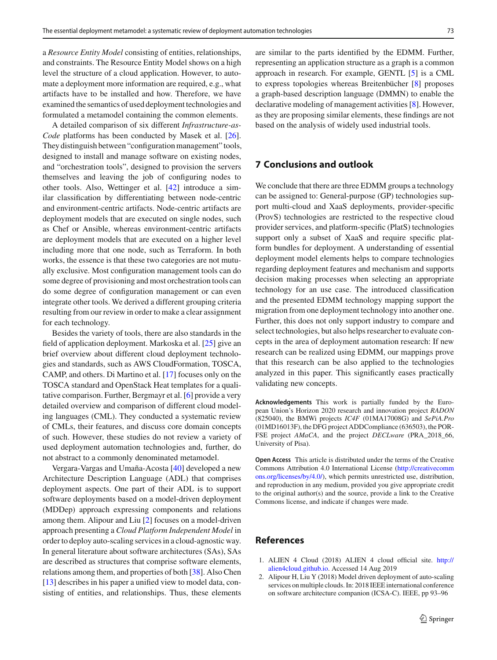a *Resource Entity Model* consisting of entities, relationships, and constraints. The Resource Entity Model shows on a high level the structure of a cloud application. However, to automate a deployment more information are required, e.g., what artifacts have to be installed and how. Therefore, we have examined the semantics of used deployment technologies and formulated a metamodel containing the common elements.

A detailed comparison of six different *Infrastructure-as-Code* platforms has been conducted by Masek et al. [\[26](#page-11-32)]. They distinguish between "configuration management" tools, designed to install and manage software on existing nodes, and "orchestration tools", designed to provision the servers themselves and leaving the job of configuring nodes to other tools. Also, Wettinger et al. [\[42](#page-11-33)] introduce a similar classification by differentiating between node-centric and environment-centric artifacts. Node-centric artifacts are deployment models that are executed on single nodes, such as Chef or Ansible, whereas environment-centric artifacts are deployment models that are executed on a higher level including more that one node, such as Terraform. In both works, the essence is that these two categories are not mutually exclusive. Most configuration management tools can do some degree of provisioning and most orchestration tools can do some degree of configuration management or can even integrate other tools. We derived a different grouping criteria resulting from our review in order to make a clear assignment for each technology.

Besides the variety of tools, there are also standards in the field of application deployment. Markoska et al. [\[25](#page-11-34)] give an brief overview about different cloud deployment technologies and standards, such as AWS CloudFormation, TOSCA, CAMP, and others. Di Martino et al. [\[17](#page-11-35)] focuses only on the TOSCA standard and OpenStack Heat templates for a qualitative comparison. Further, Bergmayr et al. [\[6](#page-11-36)] provide a very detailed overview and comparison of different cloud modeling languages (CML). They conducted a systematic review of CMLs, their features, and discuss core domain concepts of such. However, these studies do not review a variety of used deployment automation technologies and, further, do not abstract to a commonly denominated metamodel.

Vergara-Vargas and Umaña-Acosta [\[40\]](#page-11-37) developed a new Architecture Description Language (ADL) that comprises deployment aspects. One part of their ADL is to support software deployments based on a model-driven deployment (MDDep) approach expressing components and relations among them. Alipour and Liu [\[2](#page-10-2)] focuses on a model-driven approach presenting a *Cloud Platform Independent Model* in order to deploy auto-scaling services in a cloud-agnostic way. In general literature about software architectures (SAs), SAs are described as structures that comprise software elements, relations among them, and properties of both [\[38](#page-11-38)]. Also Chen [\[13](#page-11-39)] describes in his paper a unified view to model data, consisting of entities, and relationships. Thus, these elements are similar to the parts identified by the EDMM. Further, representing an application structure as a graph is a common approach in research. For example, GENTL [\[5\]](#page-11-26) is a CML to express topologies whereas Breitenbücher [\[8\]](#page-11-23) proposes a graph-based description language (DMMN) to enable the declarative modeling of management activities [\[8\]](#page-11-23). However, as they are proposing similar elements, these findings are not based on the analysis of widely used industrial tools.

# <span id="page-10-0"></span>**7 Conclusions and outlook**

We conclude that there are three EDMM groups a technology can be assigned to: General-purpose (GP) technologies support multi-cloud and XaaS deployments, provider-specific (ProvS) technologies are restricted to the respective cloud provider services, and platform-specific (PlatS) technologies support only a subset of XaaS and require specific platform bundles for deployment. A understanding of essential deployment model elements helps to compare technologies regarding deployment features and mechanism and supports decision making processes when selecting an appropriate technology for an use case. The introduced classification and the presented EDMM technology mapping support the migration from one deployment technology into another one. Further, this does not only support industry to compare and select technologies, but also helps researcher to evaluate concepts in the area of deployment automation research: If new research can be realized using EDMM, our mappings prove that this research can be also applied to the technologies analyzed in this paper. This significantly eases practically validating new concepts.

**Acknowledgements** This work is partially funded by the European Union's Horizon 2020 research and innovation project *RADON* (825040), the BMWi projects *IC4F* (01MA17008G) and *SePiA.Pro* (01MD16013F), the DFG project ADDCompliance (636503), the POR-FSE project *AMaCA*, and the project *DECLware* (PRA\_2018\_66, University of Pisa).

**Open Access** This article is distributed under the terms of the Creative Commons Attribution 4.0 International License [\(http://creativecomm](http://creativecommons.org/licenses/by/4.0/) [ons.org/licenses/by/4.0/\)](http://creativecommons.org/licenses/by/4.0/), which permits unrestricted use, distribution, and reproduction in any medium, provided you give appropriate credit to the original author(s) and the source, provide a link to the Creative Commons license, and indicate if changes were made.

# **References**

- <span id="page-10-1"></span>1. ALIEN 4 Cloud (2018) ALIEN 4 cloud official site. [http://](http://alien4cloud.github.io) [alien4cloud.github.io.](http://alien4cloud.github.io) Accessed 14 Aug 2019
- <span id="page-10-2"></span>2. Alipour H, Liu Y (2018) Model driven deployment of auto-scaling services on multiple clouds. In: 2018 IEEE international conference on software architecture companion (ICSA-C). IEEE, pp 93–96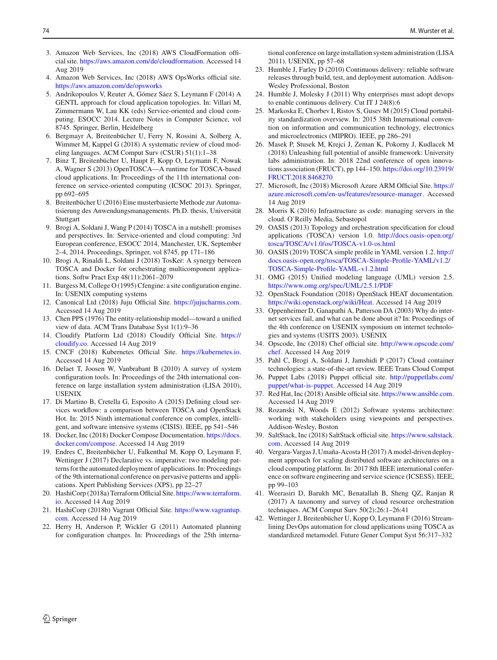- <span id="page-11-15"></span>3. Amazon Web Services, Inc (2018) AWS CloudFormation official site. [https://aws.amazon.com/de/cloudformation.](https://aws.amazon.com/de/cloudformation) Accessed 14 Aug 2019
- <span id="page-11-8"></span>4. Amazon Web Services, Inc (2018) AWS OpsWorks official site. <https://aws.amazon.com/de/opsworks>
- <span id="page-11-26"></span>5. Andrikopoulos V, Reuter A, Gómez Sáez S, Leymann F (2014) A GENTL approach for cloud application topologies. In: Villari M, Zimmermann W, Lau KK (eds) Service-oriented and cloud computing. ESOCC 2014. Lecture Notes in Computer Science, vol 8745. Springer, Berlin, Heidelberg
- <span id="page-11-36"></span>6. Bergmayr A, Breitenbücher U, Ferry N, Rossini A, Solberg A, Wimmer M, Kappel G (2018) A systematic review of cloud modeling languages. ACM Comput Surv (CSUR) 51(1):1–38
- <span id="page-11-30"></span>7. Binz T, Breitenbücher U, Haupt F, Kopp O, Leymann F, Nowak A, Wagner S (2013) OpenTOSCA—A runtime for TOSCA-based cloud applications. In: Proceedings of the 11th international conference on service-oriented computing (ICSOC 2013). Springer, pp 692–695
- <span id="page-11-23"></span>8. Breitenbücher U (2016) Eine musterbasierte Methode zur Automatisierung des Anwendungsmanagements. Ph.D. thesis, Universität **Stuttgart**
- <span id="page-11-27"></span>9. Brogi A, Soldani J, Wang P (2014) TOSCA in a nutshell: promises and perspectives. In: Service-oriented and cloud computing: 3rd European conference, ESOCC 2014, Manchester, UK, September 2–4, 2014. Proceedings, Springer, vol 8745, pp 171–186
- <span id="page-11-31"></span>10. Brogi A, Rinaldi L, Soldani J (2018) TosKer: A synergy between TOSCA and Docker for orchestrating multicomponent applications. Softw Pract Exp 48(11):2061–2079
- <span id="page-11-18"></span>11. Burgess M, College O (1995) Cfengine: a site configuration engine. In: USENIX computing systems
- <span id="page-11-17"></span>12. Canonical Ltd (2018) Juju Official Site. [https://jujucharms.com.](https://jujucharms.com) Accessed 14 Aug 2019
- <span id="page-11-39"></span>13. Chen PPS (1976) The entity-relationship model—toward a unified view of data. ACM Trans Database Syst 1(1):9–36
- <span id="page-11-21"></span>14. Cloudify Platform Ltd (2018) Cloudify Official Site. [https://](https://cloudify.co) [cloudify.co.](https://cloudify.co) Accessed 14 Aug 2019
- <span id="page-11-12"></span>15. CNCF (2018) Kubernetes Official Site. [https://kubernetes.io.](https://kubernetes.io) Accessed 14 Aug 2019
- <span id="page-11-3"></span>16. Delaet T, Joosen W, Vanbrabant B (2010) A survey of system configuration tools. In: Proceedings of the 24th international conference on large installation system administration (LISA 2010), USENIX
- <span id="page-11-35"></span>17. Di Martino B, Cretella G, Esposito A (2015) Defining cloud services workflow: a comparison between TOSCA and OpenStack Hot. In: 2015 Ninth international conference on complex, intelligent, and software intensive systems (CISIS). IEEE, pp 541–546
- <span id="page-11-20"></span>18. Docker, Inc (2018) Docker Compose Documentation. [https://docs.](https://docs.docker.com/compose) [docker.com/compose.](https://docs.docker.com/compose) Accessed 14 Aug 2019
- <span id="page-11-5"></span>19. Endres C, Breitenbücher U, Falkenthal M, Kopp O, Leymann F, Wettinger J (2017) Declarative vs. imperative: two modeling patterns for the automated deployment of applications. In: Proceedings of the 9th international conference on pervasive patterns and applications. Xpert Publishing Services (XPS), pp 22–27
- <span id="page-11-14"></span>20. HashiCorp (2018a) Terraform Official Site. [https://www.terraform.](https://www.terraform.io) [io.](https://www.terraform.io) Accessed 14 Aug 2019
- <span id="page-11-7"></span>21. HashiCorp (2018b) Vagrant Official Site. [https://www.vagrantup.](https://www.vagrantup.com) [com.](https://www.vagrantup.com) Accessed 14 Aug 2019
- <span id="page-11-6"></span>22. Herry H, Anderson P, Wickler G (2011) Automated planning for configuration changes. In: Proceedings of the 25th interna-

tional conference on large installation system administration (LISA 2011). USENIX, pp 57–68

- <span id="page-11-1"></span>23. Humble J, Farley D (2010) Continuous delivery: reliable software releases through build, test, and deployment automation. Addison-Wesley Professional, Boston
- <span id="page-11-0"></span>24. Humble J, Molesky J (2011) Why enterprises must adopt devops to enable continuous delivery. Cut IT J 24(8):6
- <span id="page-11-34"></span>25. Markoska E, Chorbev I, Ristov S, Gusev M (2015) Cloud portability standardization overview. In: 2015 38th International convention on information and communication technology, electronics and microelectronics (MIPRO). IEEE, pp 286–291
- <span id="page-11-32"></span>26. Masek P, Stusek M, Krejci J, Zeman K, Pokorny J, Kudlacek M (2018) Unleashing full potential of ansible framework: University labs administration. In: 2018 22nd conference of open innovations association (FRUCT), pp 144–150. [https://doi.org/10.23919/](https://doi.org/10.23919/FRUCT.2018.8468270) [FRUCT.2018.8468270](https://doi.org/10.23919/FRUCT.2018.8468270)
- <span id="page-11-19"></span>27. Microsoft, Inc (2018) Microsoft Azure ARM Official Site. [https://](https://azure.microsoft.com/en-us/features/resource-manager) [azure.microsoft.com/en-us/features/resource-manager.](https://azure.microsoft.com/en-us/features/resource-manager) Accessed 14 Aug 2019
- <span id="page-11-4"></span>28. Morris K (2016) Infrastructure as code: managing servers in the cloud. O'Reilly Media, Sebastopol
- <span id="page-11-22"></span>29. OASIS (2013) Topology and orchestration specification for cloud applications (TOSCA) version 1.0. [http://docs.oasis-open.org/](http://docs.oasis-open.org/tosca/TOSCA/v1.0/os/TOSCA-v1.0-os.html) [tosca/TOSCA/v1.0/os/TOSCA-v1.0-os.html](http://docs.oasis-open.org/tosca/TOSCA/v1.0/os/TOSCA-v1.0-os.html)
- <span id="page-11-28"></span>30. OASIS (2019) TOSCA simple profile in YAML version 1.2. [http://](http://docs.oasis-open.org/tosca/TOSCA-Simple-Profile-YAML/v1.2/TOSCA-Simple-Profile-YAML-v1.2.html) [docs.oasis-open.org/tosca/TOSCA-Simple-Profile-YAML/v1.2/](http://docs.oasis-open.org/tosca/TOSCA-Simple-Profile-YAML/v1.2/TOSCA-Simple-Profile-YAML-v1.2.html) [TOSCA-Simple-Profile-YAML-v1.2.html](http://docs.oasis-open.org/tosca/TOSCA-Simple-Profile-YAML/v1.2/TOSCA-Simple-Profile-YAML-v1.2.html)
- <span id="page-11-25"></span>31. OMG (2015) Unified modeling language (UML) version 2.5. <https://www.omg.org/spec/UML/2.5.1/PDF>
- <span id="page-11-13"></span>32. OpenStack Foundation (2018) OpenStack HEAT documentation. [https://wiki.openstack.org/wiki/Heat.](https://wiki.openstack.org/wiki/Heat) Accessed 14 Aug 2019
- <span id="page-11-2"></span>33. Oppenheimer D, Ganapathi A, Patterson DA (2003) Why do internet services fail, and what can be done about it? In: Proceedings of the 4th conference on USENIX symposium on internet technologies and systems (USITS 2003). USENIX
- <span id="page-11-10"></span>34. Opscode, Inc (2018) Chef official site. [http://www.opscode.com/](http://www.opscode.com/chef) [chef.](http://www.opscode.com/chef) Accessed 14 Aug 2019
- <span id="page-11-29"></span>35. Pahl C, Brogi A, Soldani J, Jamshidi P (2017) Cloud container technologies: a state-of-the-art review. IEEE Trans Cloud Comput
- <span id="page-11-9"></span>36. Puppet Labs (2018) Puppet official site. [http://puppetlabs.com/](http://puppetlabs.com/puppet/what-is-puppet) [puppet/what-is-puppet.](http://puppetlabs.com/puppet/what-is-puppet) Accessed 14 Aug 2019
- <span id="page-11-11"></span>37. Red Hat, Inc (2018) Ansible official site. [https://www.ansible.com.](https://www.ansible.com) Accessed 14 Aug 2019
- <span id="page-11-38"></span>38. Rozanski N, Woods E (2012) Software systems architecture: working with stakeholders using viewpoints and perspectives. Addison-Wesley, Boston
- <span id="page-11-16"></span>39. SaltStack, Inc (2018) SaltStack official site. [https://www.saltstack.](https://www.saltstack.com) [com.](https://www.saltstack.com) Accessed 14 Aug 2019
- <span id="page-11-37"></span>40. Vergara-Vargas J, Umaña-Acosta H (2017) A model-driven deployment approach for scaling distributed software architectures on a cloud computing platform. In: 2017 8th IEEE international conference on software engineering and service science (ICSESS). IEEE, pp 99–103
- <span id="page-11-24"></span>41. Weerasiri D, Barukh MC, Benatallah B, Sheng QZ, Ranjan R (2017) A taxonomy and survey of cloud resource orchestration techniques. ACM Comput Surv 50(2):26:1–26:41
- <span id="page-11-33"></span>42. Wettinger J, Breitenbücher U, Kopp O, Leymann F (2016) Streamlining DevOps automation for cloud applications using TOSCA as standardized metamodel. Future Gener Comput Syst 56:317–332